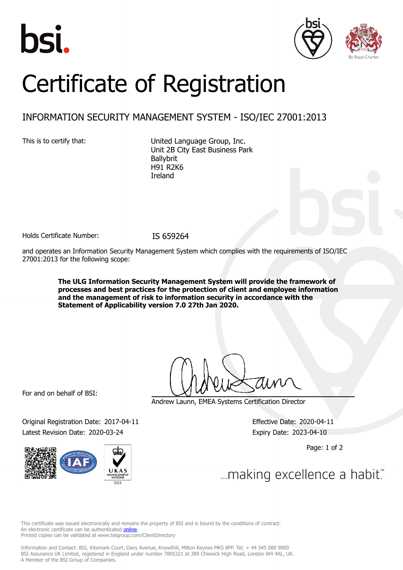





## Certificate of Registration

## INFORMATION SECURITY MANAGEMENT SYSTEM - ISO/IEC 27001:2013

This is to certify that: United Language Group, Inc. Unit 2B City East Business Park Ballybrit H91 R2K6 Ireland

Holds Certificate Number: IS 659264

and operates an Information Security Management System which complies with the requirements of ISO/IEC 27001:2013 for the following scope:

> **The ULG Information Security Management System will provide the framework of processes and best practices for the protection of client and employee information and the management of risk to information security in accordance with the Statement of Applicability version 7.0 27th Jan 2020.**

For and on behalf of BSI:

Original Registration Date: 2017-04-11 Effective Date: 2020-04-11 Latest Revision Date: 2020-03-24 Expiry Date: 2023-04-10



Andrew Launn, EMEA Systems Certification Director

Page: 1 of 2

... making excellence a habit."

This certificate was issued electronically and remains the property of BSI and is bound by the conditions of contract. An electronic certificate can be authenticated **[online](https://pgplus.bsigroup.com/CertificateValidation/CertificateValidator.aspx?CertificateNumber=IS+659264&ReIssueDate=24%2f03%2f2020&Template=uk)**. Printed copies can be validated at www.bsigroup.com/ClientDirectory

Information and Contact: BSI, Kitemark Court, Davy Avenue, Knowlhill, Milton Keynes MK5 8PP. Tel: + 44 345 080 9000 BSI Assurance UK Limited, registered in England under number 7805321 at 389 Chiswick High Road, London W4 4AL, UK. A Member of the BSI Group of Companies.